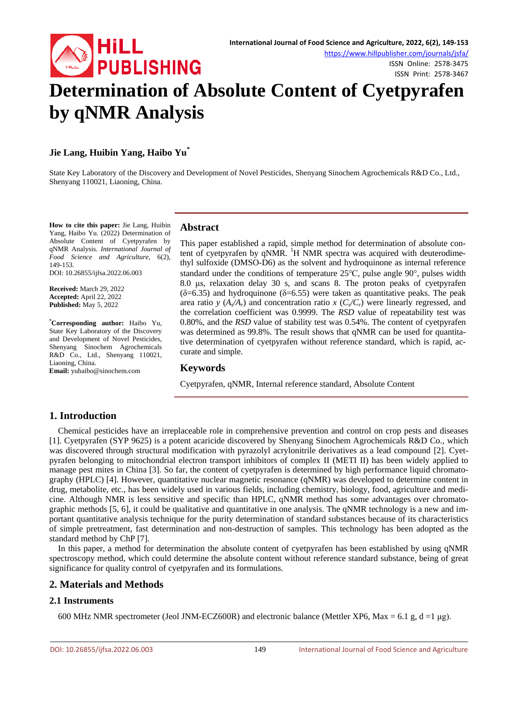

### **Jie Lang, Huibin Yang, Haibo Yu\***

State Key Laboratory of the Discovery and Development of Novel Pesticides, Shenyang Sinochem Agrochemicals R&D Co., Ltd., Shenyang 110021, Liaoning, China.

**How to cite this paper:** Jie Lang, Huibin Yang, Haibo Yu. (2022) Determination of Absolute Content of Cyetpyrafen by qNMR Analysis. *International Journal of Food Science and Agriculture*, 6(2), 149-153.

DOI: 10.26855/ijfsa.2022.06.003

**Received:** March 29, 2022 **Accepted:** April 22, 2022 **Published:** May 5, 2022

**\* Corresponding author:** Haibo Yu, State Key Laboratory of the Discovery and Development of Novel Pesticides, Shenyang Sinochem Agrochemicals R&D Co., Ltd., Shenyang 110021, Liaoning, China.

**Email:** yuhaibo@sinochem.com

#### **Abstract**

This paper established a rapid, simple method for determination of absolute content of cyetpyrafen by qNMR. <sup>1</sup>H NMR spectra was acquired with deuterodimethyl sulfoxide (DMSO-D6) as the solvent and hydroquinone as internal reference standard under the conditions of temperature 25℃, pulse angle 90°, pulses width 8.0 μs, relaxation delay 30 s, and scans 8. The proton peaks of cyetpyrafen ( $\delta$ =6.35) and hydroquinone ( $\delta$ =6.55) were taken as quantitative peaks. The peak area ratio *y*  $(A_x/A_y)$  and concentration ratio *x*  $(C_x/C_y)$  were linearly regressed, and the correlation coefficient was 0.9999. The *RSD* value of repeatability test was 0.80%, and the *RSD* value of stability test was 0.54%. The content of cyetpyrafen was determined as 99.8%. The result shows that qNMR can be used for quantitative determination of cyetpyrafen without reference standard, which is rapid, accurate and simple.

#### **Keywords**

Cyetpyrafen, qNMR, Internal reference standard, Absolute Content

### **1. Introduction**

Chemical pesticides have an irreplaceable role in comprehensive prevention and control on crop pests and diseases [1]. Cyetpyrafen (SYP 9625) is a potent acaricide discovered by Shenyang Sinochem Agrochemicals R&D Co., which was discovered through structural modification with pyrazolyl acrylonitrile derivatives as a lead compound [2]. Cyetpyrafen belonging to mitochondrial electron transport inhibitors of complex II (METI II) has been widely applied to manage pest mites in China [3]. So far, the content of cyetpyrafen is determined by high performance liquid chromatography (HPLC) [4]. However, quantitative nuclear magnetic resonance (qNMR) was developed to determine content in drug, metabolite, etc., has been widely used in various fields, including chemistry, biology, food, agriculture and medicine. Although NMR is less sensitive and specific than HPLC, qNMR method has some advantages over chromatographic methods [5, 6], it could be qualitative and quantitative in one analysis. The qNMR technology is a new and important quantitative analysis technique for the purity determination of standard substances because of its characteristics of simple pretreatment, fast determination and non-destruction of samples. This technology has been adopted as the standard method by ChP [7].

In this paper, a method for determination the absolute content of cyetpyrafen has been established by using qNMR spectroscopy method, which could determine the absolute content without reference standard substance, being of great significance for quality control of cyetpyrafen and its formulations.

### **2. Materials and Methods**

#### **2.1 Instruments**

600 MHz NMR spectrometer (Jeol JNM-ECZ600R) and electronic balance (Mettler XP6, Max = 6.1 g, d =1  $\mu$ g).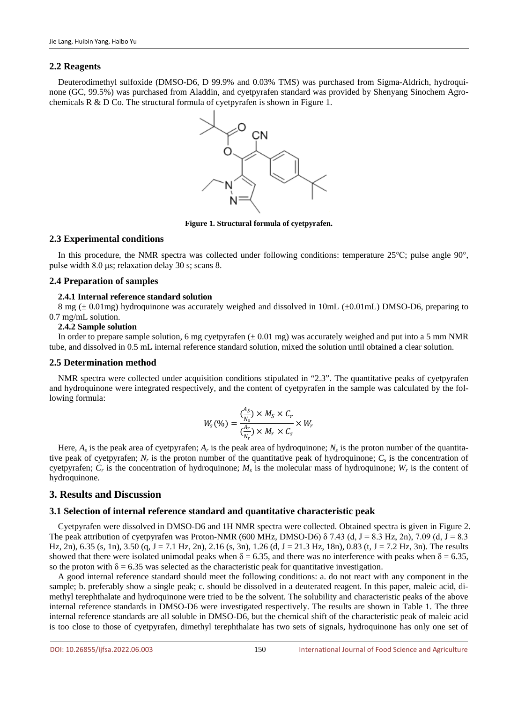#### **2.2 Reagents**

Deuterodimethyl sulfoxide (DMSO-D6, D 99.9% and 0.03% TMS) was purchased from Sigma-Aldrich, hydroquinone (GC, 99.5%) was purchased from Aladdin, and cyetpyrafen standard was provided by Shenyang Sinochem Agrochemicals R & D Co. The structural formula of cyetpyrafen is shown in Figure 1.



**Figure 1. Structural formula of cyetpyrafen.**

#### **2.3 Experimental conditions**

In this procedure, the NMR spectra was collected under following conditions: temperature 25℃; pulse angle 90°, pulse width 8.0 μs; relaxation delay 30 s; scans 8.

#### **2.4 Preparation of samples**

#### **2.4.1 Internal reference standard solution**

8 mg (± 0.01mg) hydroquinone was accurately weighed and dissolved in 10mL (±0.01mL) DMSO-D6, preparing to 0.7 mg/mL solution.

#### **2.4.2 Sample solution**

In order to prepare sample solution, 6 mg cyetpyrafen  $(\pm 0.01 \text{ mg})$  was accurately weighed and put into a 5 mm NMR tube, and dissolved in 0.5 mL internal reference standard solution, mixed the solution until obtained a clear solution.

#### **2.5 Determination method**

NMR spectra were collected under acquisition conditions stipulated in "2.3". The quantitative peaks of cyetpyrafen and hydroquinone were integrated respectively, and the content of cyetpyrafen in the sample was calculated by the following formula:

$$
W_s(\%) = \frac{\binom{A_S}{N_s} \times M_S \times C_r}{\binom{A_r}{N_r} \times M_r \times C_s} \times W_r
$$

Here,  $A_s$  is the peak area of cyetpyrafen;  $A_r$  is the peak area of hydroquinone;  $N_s$  is the proton number of the quantitative peak of cyetpyrafen;  $N_r$  is the proton number of the quantitative peak of hydroquinone;  $C_s$  is the concentration of cyetpyrafen;  $C_r$  is the concentration of hydroquinone;  $M_s$  is the molecular mass of hydroquinone;  $W_r$  is the content of hydroquinone.

### **3. Results and Discussion**

#### **3.1 Selection of internal reference standard and quantitative characteristic peak**

Cyetpyrafen were dissolved in DMSO-D6 and 1H NMR spectra were collected. Obtained spectra is given in Figure 2. The peak attribution of cyetpyrafen was Proton-NMR (600 MHz, DMSO-D6)  $\delta$  7.43 (d, J = 8.3 Hz, 2n), 7.09 (d, J = 8.3 Hz, 2n), 6.35 (s, 1n), 3.50 (q, J = 7.1 Hz, 2n), 2.16 (s, 3n), 1.26 (d, J = 21.3 Hz, 18n), 0.83 (t, J = 7.2 Hz, 3n). The results showed that there were isolated unimodal peaks when  $\delta = 6.35$ , and there was no interference with peaks when  $\delta = 6.35$ , so the proton with  $\delta = 6.35$  was selected as the characteristic peak for quantitative investigation.

A good internal reference standard should meet the following conditions: a. do not react with any component in the sample; b. preferably show a single peak; c. should be dissolved in a deuterated reagent. In this paper, maleic acid, dimethyl terephthalate and hydroquinone were tried to be the solvent. The solubility and characteristic peaks of the above internal reference standards in DMSO-D6 were investigated respectively. The results are shown in Table 1. The three internal reference standards are all soluble in DMSO-D6, but the chemical shift of the characteristic peak of maleic acid is too close to those of cyetpyrafen, dimethyl terephthalate has two sets of signals, hydroquinone has only one set of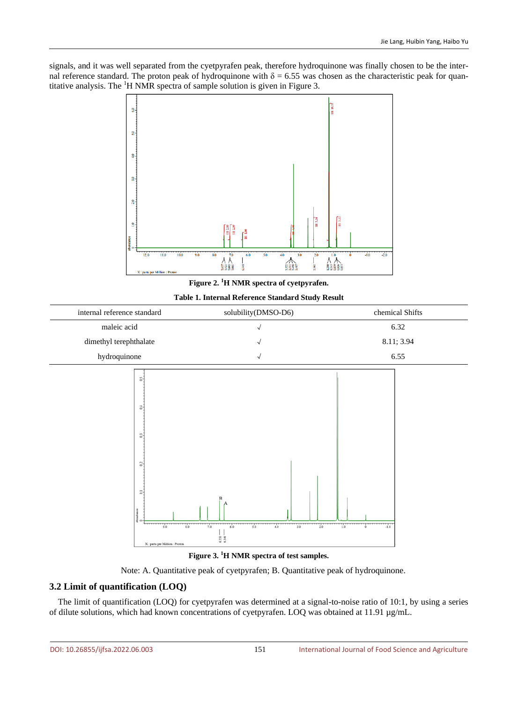signals, and it was well separated from the cyetpyrafen peak, therefore hydroquinone was finally chosen to be the internal reference standard. The proton peak of hydroquinone with  $\delta = 6.55$  was chosen as the characteristic peak for quantitative analysis. The <sup>1</sup>H NMR spectra of sample solution is given in Figure 3.



**Figure 2. <sup>1</sup> H NMR spectra of cyetpyrafen.**

**Table 1. Internal Reference Standard Study Result**



**Figure 3. <sup>1</sup> H NMR spectra of test samples.**

Note: A. Quantitative peak of cyetpyrafen; B. Quantitative peak of hydroquinone.

# **3.2 Limit of quantification (LOQ)**

The limit of quantification (LOQ) for cyetpyrafen was determined at a signal-to-noise ratio of 10:1, by using a series of dilute solutions, which had known concentrations of cyetpyrafen. LOQ was obtained at  $11.91 \mu g/mL$ .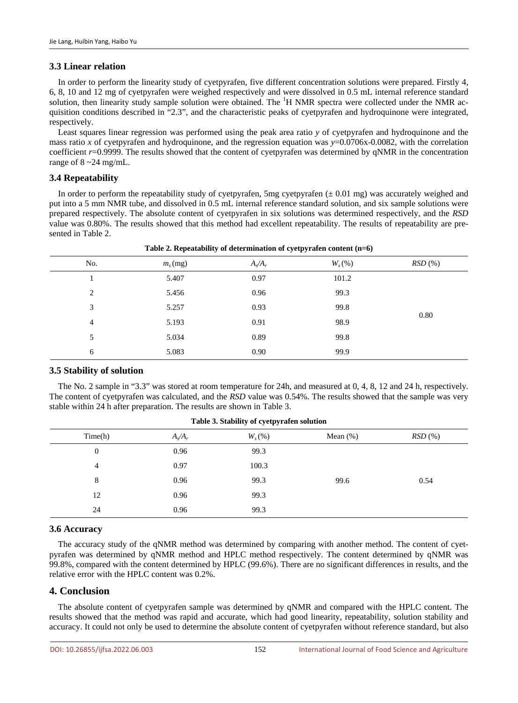# **3.3 Linear relation**

In order to perform the linearity study of cyetpyrafen, five different concentration solutions were prepared. Firstly 4, 6, 8, 10 and 12 mg of cyetpyrafen were weighed respectively and were dissolved in 0.5 mL internal reference standard solution, then linearity study sample solution were obtained. The <sup>1</sup>H NMR spectra were collected under the NMR acquisition conditions described in "2.3", and the characteristic peaks of cyetpyrafen and hydroquinone were integrated, respectively.

Least squares linear regression was performed using the peak area ratio *y* of cyetpyrafen and hydroquinone and the mass ratio *x* of cyetpyrafen and hydroquinone, and the regression equation was *y*=0.0706x-0.0082, with the correlation coefficient *r*=0.9999. The results showed that the content of cyetpyrafen was determined by qNMR in the concentration range of  $8 \sim 24$  mg/mL.

# **3.4 Repeatability**

In order to perform the repeatability study of cyetpyrafen, 5mg cyetpyrafen  $(\pm 0.01 \text{ mg})$  was accurately weighed and put into a 5 mm NMR tube, and dissolved in 0.5 mL internal reference standard solution, and six sample solutions were prepared respectively. The absolute content of cyetpyrafen in six solutions was determined respectively, and the *RSD* value was 0.80%. The results showed that this method had excellent repeatability. The results of repeatability are presented in Table 2.

| No. | $m_s$ (mg) | $A_s/A_r$ | $W_{s}(%)$ | RSD(%) |  |  |
|-----|------------|-----------|------------|--------|--|--|
|     | 5.407      | 0.97      | 101.2      | 0.80   |  |  |
| 2   | 5.456      | 0.96      | 99.3       |        |  |  |
| 3   | 5.257      | 0.93      | 99.8       |        |  |  |
| 4   | 5.193      | 0.91      | 98.9       |        |  |  |
| 5   | 5.034      | 0.89      | 99.8       |        |  |  |
| 6   | 5.083      | 0.90      | 99.9       |        |  |  |

|  |  | Table 2. Repeatability of determination of cyetpyrafen content (n=6) |  |  |
|--|--|----------------------------------------------------------------------|--|--|
|--|--|----------------------------------------------------------------------|--|--|

### **3.5 Stability of solution**

The No. 2 sample in "3.3" was stored at room temperature for 24h, and measured at 0, 4, 8, 12 and 24 h, respectively. The content of cyetpyrafen was calculated, and the *RSD* value was 0.54%. The results showed that the sample was very stable within 24 h after preparation. The results are shown in Table 3.

| Table 5. Stability of Cycley area solution |            |             |        |  |  |  |
|--------------------------------------------|------------|-------------|--------|--|--|--|
| $A_s/A_r$                                  | $W_{s}(%)$ | Mean $(\%)$ | RSD(%) |  |  |  |
| 0.96                                       | 99.3       |             |        |  |  |  |
| 0.97                                       | 100.3      |             |        |  |  |  |
| 0.96                                       | 99.3       | 99.6        | 0.54   |  |  |  |
| 0.96                                       | 99.3       |             |        |  |  |  |
| 0.96                                       | 99.3       |             |        |  |  |  |
|                                            |            |             |        |  |  |  |

# **Table 3. Stability of cyetpyrafen solution**

### **3.6 Accuracy**

The accuracy study of the qNMR method was determined by comparing with another method. The content of cyetpyrafen was determined by qNMR method and HPLC method respectively. The content determined by qNMR was 99.8%, compared with the content determined by HPLC (99.6%). There are no significant differences in results, and the relative error with the HPLC content was 0.2%.

### **4. Conclusion**

The absolute content of cyetpyrafen sample was determined by qNMR and compared with the HPLC content. The results showed that the method was rapid and accurate, which had good linearity, repeatability, solution stability and accuracy. It could not only be used to determine the absolute content of cyetpyrafen without reference standard, but also